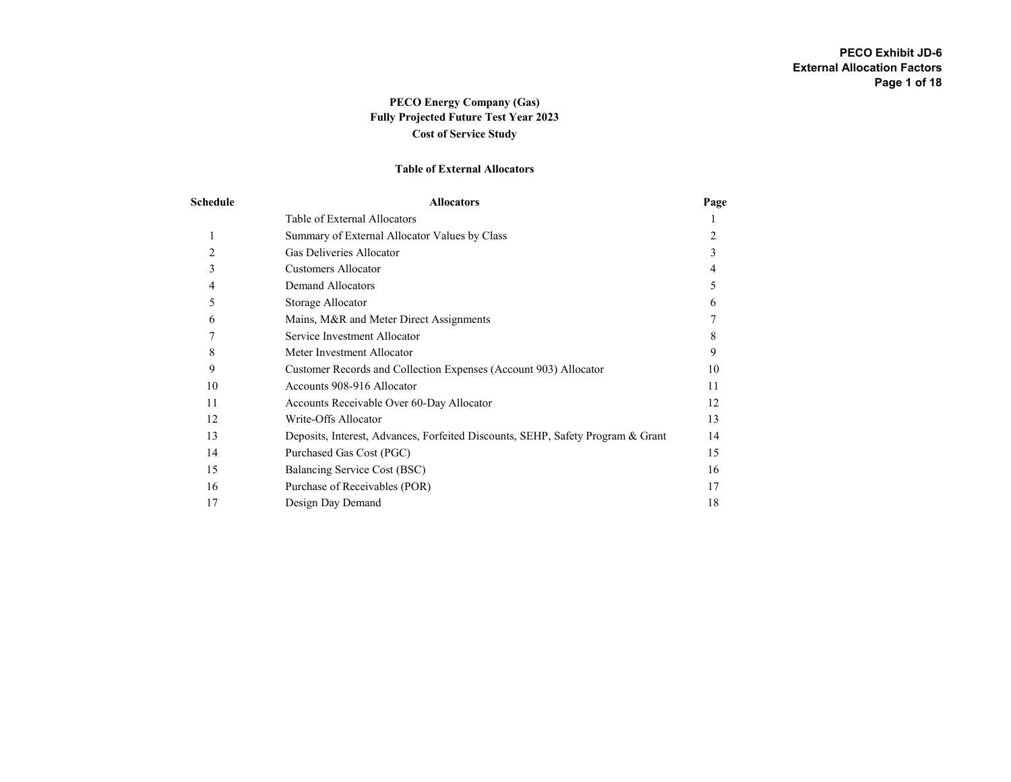# PECO Energy Company (Gas) Fully Projected Future Test Year 2023 Cost of Service Study

### Table of External Allocators

| Schedule       | <b>Allocators</b>                                                               | Page |
|----------------|---------------------------------------------------------------------------------|------|
|                | Table of External Allocators                                                    |      |
| 1              | Summary of External Allocator Values by Class                                   |      |
| $\overline{c}$ | Gas Deliveries Allocator                                                        | 3    |
| 3              | <b>Customers Allocator</b>                                                      | 4    |
| 4              | <b>Demand Allocators</b>                                                        | 5    |
| 5              | Storage Allocator                                                               | 6    |
| 6              | Mains, M&R and Meter Direct Assignments                                         |      |
|                | Service Investment Allocator                                                    | 8    |
| 8              | Meter Investment Allocator                                                      | 9    |
| 9              | Customer Records and Collection Expenses (Account 903) Allocator                | 10   |
| 10             | Accounts 908-916 Allocator                                                      | 11   |
| 11             | Accounts Receivable Over 60-Day Allocator                                       | 12   |
| 12             | Write-Offs Allocator                                                            | 13   |
| 13             | Deposits, Interest, Advances, Forfeited Discounts, SEHP, Safety Program & Grant | 14   |
| 14             | Purchased Gas Cost (PGC)                                                        | 15   |
| 15             | Balancing Service Cost (BSC)                                                    | 16   |
| 16             | Purchase of Receivables (POR)                                                   | 17   |
| 17             | Design Day Demand                                                               | 18   |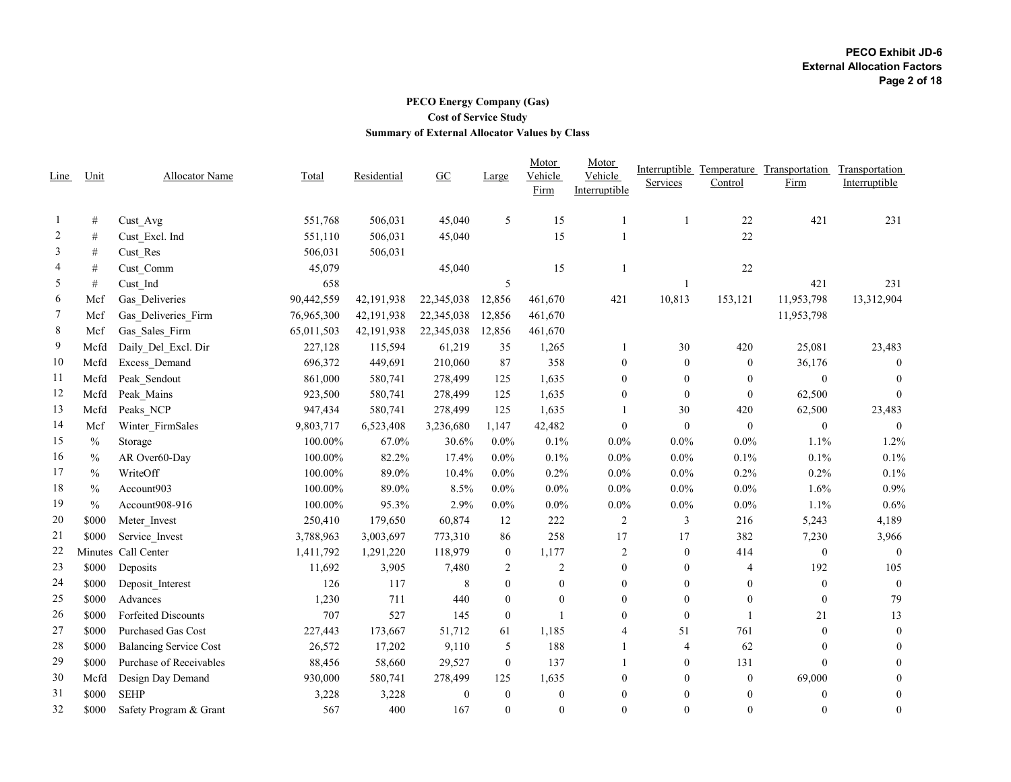# PECO Energy Company (Gas) Cost of Service Study Summary of External Allocator Values by Class

|                |               |                               |            |             |                  |                  | Motor            | Motor            |                |              | Interruptible Temperature Transportation | Transportation   |
|----------------|---------------|-------------------------------|------------|-------------|------------------|------------------|------------------|------------------|----------------|--------------|------------------------------------------|------------------|
| Line           | Unit          | Allocator Name                | Total      | Residential | $\underline{GC}$ | Large            | Vehicle          | Vehicle          | Services       | Control      | Firm                                     | Interruptible    |
|                |               |                               |            |             |                  |                  | Firm             | Interruptible    |                |              |                                          |                  |
| -1             | #             | Cust Avg                      | 551,768    | 506,031     | 45,040           | 5                | 15               | 1                |                | $22\,$       | 421                                      | 231              |
| $\overline{c}$ | $\#$          | Cust Excl. Ind                | 551,110    | 506,031     | 45,040           |                  | 15               |                  |                | 22           |                                          |                  |
| 3              | $\#$          | Cust Res                      | 506,031    | 506,031     |                  |                  |                  |                  |                |              |                                          |                  |
| 4              | #             | Cust Comm                     | 45,079     |             | 45,040           |                  | 15               |                  |                | 22           |                                          |                  |
| 5              | #             | Cust Ind                      | 658        |             |                  | 5                |                  |                  |                |              | 421                                      | 231              |
| 6              | Mcf           | Gas Deliveries                | 90,442,559 | 42,191,938  | 22,345,038       | 12,856           | 461,670          | 421              | 10,813         | 153,121      | 11,953,798                               | 13,312,904       |
| $\overline{7}$ | Mcf           | Gas Deliveries Firm           | 76,965,300 | 42,191,938  | 22,345,038       | 12,856           | 461,670          |                  |                |              | 11,953,798                               |                  |
| 8              | Mcf           | Gas Sales Firm                | 65,011,503 | 42,191,938  | 22,345,038       | 12,856           | 461,670          |                  |                |              |                                          |                  |
| 9              | Mcfd          | Daily Del Excl. Dir           | 227,128    | 115,594     | 61,219           | 35               | 1,265            | 1                | 30             | 420          | 25,081                                   | 23,483           |
| 10             | Mcfd          | Excess Demand                 | 696,372    | 449,691     | 210,060          | 87               | 358              | $\boldsymbol{0}$ | $\theta$       | $\mathbf{0}$ | 36,176                                   | $\overline{0}$   |
| 11             | Mcfd          | Peak Sendout                  | 861,000    | 580,741     | 278,499          | 125              | 1,635            | $\theta$         | $\mathbf{0}$   | $\theta$     | $\mathbf{0}$                             | $\theta$         |
| 12             | Mcfd          | Peak Mains                    | 923,500    | 580,741     | 278,499          | 125              | 1,635            | $\mathbf{0}$     | $\mathbf{0}$   | $\theta$     | 62,500                                   | $\theta$         |
| 13             | Mcfd          | Peaks NCP                     | 947,434    | 580,741     | 278,499          | 125              | 1,635            |                  | 30             | 420          | 62,500                                   | 23,483           |
| 14             | Mcf           | Winter FirmSales              | 9,803,717  | 6,523,408   | 3,236,680        | 1.147            | 42,482           | $\overline{0}$   | $\mathbf{0}$   | $\theta$     | $\mathbf{0}$                             | $\mathbf{0}$     |
| 15             | $\frac{0}{0}$ | Storage                       | 100.00%    | 67.0%       | 30.6%            | 0.0%             | 0.1%             | $0.0\%$          | $0.0\%$        | 0.0%         | 1.1%                                     | 1.2%             |
| 16             | $\frac{0}{0}$ | AR Over60-Day                 | 100.00%    | 82.2%       | 17.4%            | $0.0\%$          | $0.1\%$          | $0.0\%$          | $0.0\%$        | $0.1\%$      | 0.1%                                     | 0.1%             |
| 17             | $\frac{0}{0}$ | WriteOff                      | 100.00%    | 89.0%       | 10.4%            | 0.0%             | 0.2%             | $0.0\%$          | 0.0%           | 0.2%         | 0.2%                                     | 0.1%             |
| 18             | $\frac{0}{0}$ | Account903                    | 100.00%    | 89.0%       | 8.5%             | 0.0%             | 0.0%             | $0.0\%$          | 0.0%           | $0.0\%$      | 1.6%                                     | 0.9%             |
| 19             | $\frac{0}{0}$ | Account908-916                | 100.00%    | 95.3%       | 2.9%             | $0.0\%$          | 0.0%             | $0.0\%$          | $0.0\%$        | $0.0\%$      | 1.1%                                     | 0.6%             |
| 20             | \$000         | Meter Invest                  | 250,410    | 179,650     | 60,874           | 12               | 222              | 2                | 3              | 216          | 5,243                                    | 4,189            |
| 21             | \$000         | Service_Invest                | 3,788,963  | 3,003,697   | 773,310          | 86               | 258              | 17               | 17             | 382          | 7,230                                    | 3,966            |
| 22             |               | Minutes Call Center           | 1,411,792  | 1,291,220   | 118,979          | $\mathbf{0}$     | 1,177            | $\overline{c}$   | $\theta$       | 414          | $\mathbf{0}$                             | $\theta$         |
| 23             | \$000         | Deposits                      | 11,692     | 3,905       | 7,480            | 2                | $\sqrt{2}$       | $\mathbf{0}$     | $\mathbf{0}$   | 4            | 192                                      | 105              |
| 24             | \$000         | Deposit Interest              | 126        | 117         | 8                | $\mathbf{0}$     | $\boldsymbol{0}$ | $\mathbf{0}$     | $\mathbf{0}$   | $\mathbf{0}$ | $\boldsymbol{0}$                         | $\overline{0}$   |
| 25             | \$000         | Advances                      | 1,230      | 711         | 440              | $\mathbf{0}$     | $\boldsymbol{0}$ | $\mathbf{0}$     | $\mathbf{0}$   | $\theta$     | $\boldsymbol{0}$                         | 79               |
| 26             | \$000         | <b>Forfeited Discounts</b>    | 707        | 527         | 145              | $\theta$         | $\mathbf{1}$     | $\theta$         | $\mathbf{0}$   |              | 21                                       | 13               |
| 27             | \$000         | <b>Purchased Gas Cost</b>     | 227,443    | 173,667     | 51,712           | 61               | 1,185            | $\overline{4}$   | 51             | 761          | $\mathbf{0}$                             | $\mathbf{0}$     |
| 28             | \$000         | <b>Balancing Service Cost</b> | 26,572     | 17,202      | 9,110            | 5                | 188              | 1                | $\overline{4}$ | 62           | $\theta$                                 | $\theta$         |
| 29             | \$000         | Purchase of Receivables       | 88,456     | 58,660      | 29,527           | $\mathbf{0}$     | 137              | 1                | $\theta$       | 131          | $\theta$                                 | $\mathbf{0}$     |
| 30             | Mcfd          | Design Day Demand             | 930,000    | 580,741     | 278,499          | 125              | 1,635            | $\overline{0}$   | $\theta$       | $\mathbf{0}$ | 69,000                                   | $\theta$         |
| 31             | \$000         | <b>SEHP</b>                   | 3,228      | 3,228       | $\boldsymbol{0}$ | $\boldsymbol{0}$ | $\boldsymbol{0}$ | $\overline{0}$   | $\theta$       | $\mathbf{0}$ | $\boldsymbol{0}$                         | $\boldsymbol{0}$ |
| 32             | \$000         | Safety Program & Grant        | 567        | 400         | 167              | $\theta$         | $\overline{0}$   | $\theta$         | $\theta$       | $\theta$     | $\theta$                                 | $\theta$         |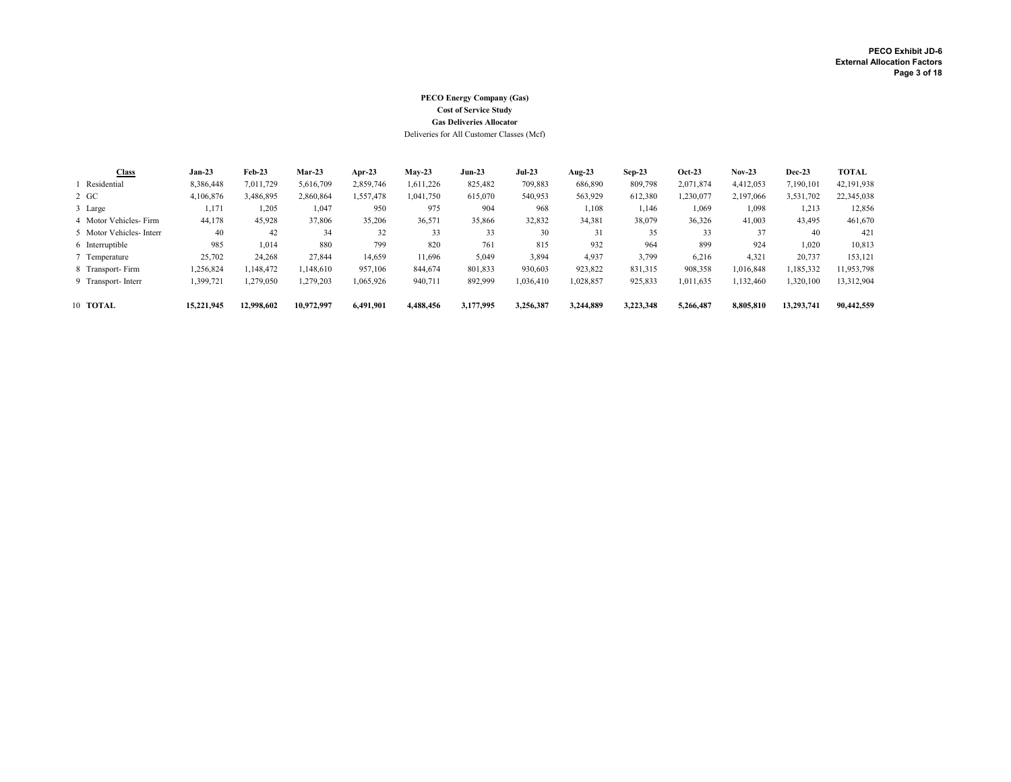### PECO Energy Company (Gas) Cost of Service Study Gas Deliveries Allocator

Deliveries for All Customer Classes (Mcf)

| Class                   | $Jan-23$   | $Feb-23$   | $Mar-23$   | Apr-23    | $Mav-23$  | $Jun-23$  | <b>Jul-23</b> | Aug- $23$ | $Sep-23$  | $Oct-23$  | $Nov-23$  | $Dec-23$   | <b>TOTAL</b> |
|-------------------------|------------|------------|------------|-----------|-----------|-----------|---------------|-----------|-----------|-----------|-----------|------------|--------------|
| Residential             | 8,386,448  | 7,011,729  | 5,616,709  | 2,859,746 | 1,611,226 | 825,482   | 709,883       | 686,890   | 809,798   | 2,071,874 | 4,412,053 | 7,190,101  | 42,191,938   |
| $2 \text{ GC}$          | 4,106,876  | 3,486,895  | 2.860.864  | 1.557.478 | 1,041,750 | 615,070   | 540,953       | 563,929   | 612,380   | 1,230,077 | 2,197,066 | 3,531,702  | 22,345,038   |
| 3 Large                 | 1,171      | 1,205      | 1,047      | 950       | 975       | 904       | 968           | 1,108     | 1,146     | 1,069     | 1,098     | 1,213      | 12,856       |
| 4 Motor Vehicles-Firm   | 44,178     | 45,928     | 37.806     | 35,206    | 36,571    | 35,866    | 32,832        | 34,381    | 38,079    | 36,326    | 41,003    | 43,495     | 461,670      |
| 5 Motor Vehicles-Interr | 40         | 42         | 34         | 32        | 33        | 33        | 30            | 31        | 35        | 33        | 37        | 40         | 421          |
| 6 Interruptible         | 985        | 1,014      | 880        | 799       | 820       | 761       | 815           | 932       | 964       | 899       | 924       | 1,020      | 10,813       |
| 7 Temperature           | 25,702     | 24,268     | 27,844     | 14,659    | 11,696    | 5,049     | 3,894         | 4,937     | 3,799     | 6,216     | 4,321     | 20,737     | 153,121      |
| 8 Transport-Firm        | 1,256,824  | 1.148.472  | 1.148.610  | 957,106   | 844,674   | 801.833   | 930,603       | 923.822   | 831,315   | 908,358   | 1,016,848 | 1,185,332  | 11,953,798   |
| 9 Transport-Interr      | 1,399,721  | 1,279,050  | 1,279,203  | 1,065,926 | 940,711   | 892,999   | 1,036,410     | 1,028,857 | 925,833   | 1,011,635 | 1,132,460 | 1,320,100  | 13,312,904   |
| 10 TOTAL                | 15.221.945 | 12.998.602 | 10.972.997 | 6.491.901 | 4.488.456 | 3,177,995 | 3.256.387     | 3.244.889 | 3.223.348 | 5.266.487 | 8.805.810 | 13,293,741 | 90.442.559   |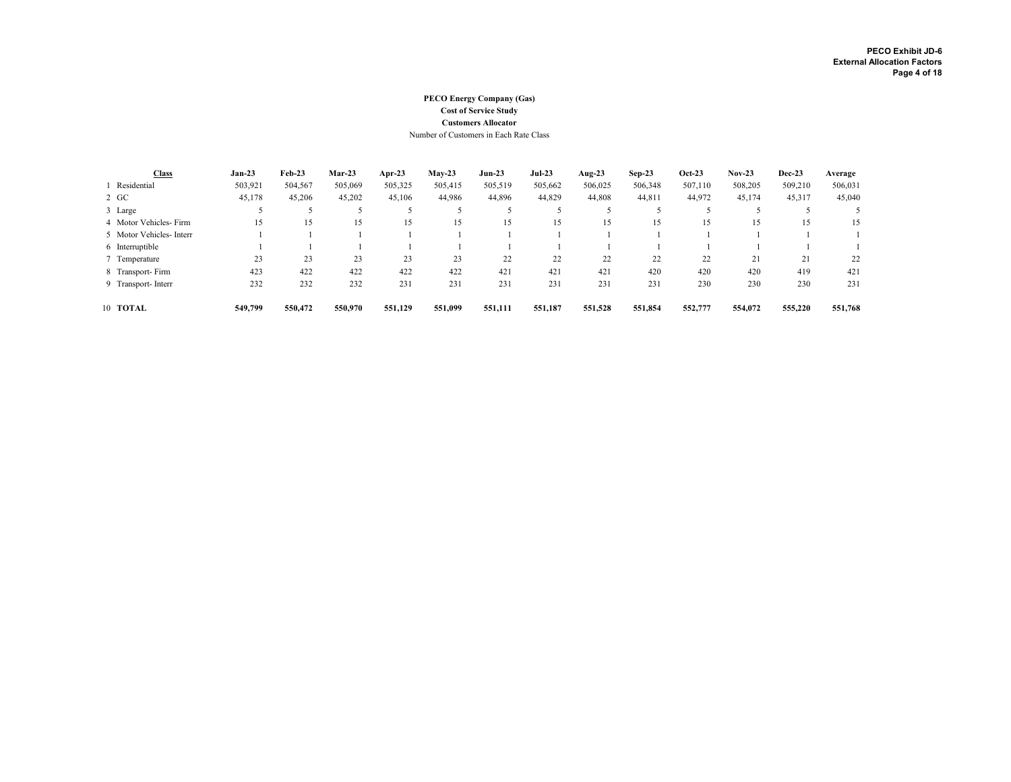#### PECO Energy Company (Gas) Cost of Service Study Customers Allocator Number of Customers in Each Rate Class

| <b>Class</b>             | $Jan-23$ | $Feb-23$ | Mar-23  | Apr-23  | $Mav-23$ | $Jun-23$ | $Jul-23$ | Aug- $23$ | $Sep-23$ | $Oct-23$ | $Nov-23$ | <b>Dec-23</b> | Average |
|--------------------------|----------|----------|---------|---------|----------|----------|----------|-----------|----------|----------|----------|---------------|---------|
| Residential              | 503,921  | 504,567  | 505,069 | 505,325 | 505,415  | 505,519  | 505,662  | 506,025   | 506,348  | 507,110  | 508,205  | 509,210       | 506,031 |
| 2 GC                     | 45,178   | 45,206   | 45,202  | 45,106  | 44.986   | 44,896   | 44,829   | 44,808    | 44,811   | 44,972   | 45,174   | 45,317        | 45,040  |
| 3 Large                  |          |          |         |         |          |          |          |           |          |          |          |               |         |
| 4 Motor Vehicles-Firm    | 15       | 15       | 15      | 15      | 15       | 15       | 15       | 15        | 15       | 15       | 15       |               | 15      |
| 5 Motor Vehicles- Interr |          |          |         |         |          |          |          |           |          |          |          |               |         |
| 6 Interruptible          |          |          |         |         |          |          |          |           |          |          |          |               |         |
| 7 Temperature            | 23       | 23       | 23      | 23      | 23       | 22       | 22       | 22        | 22       | 22       | 21       | 21            | 22      |
| 8 Transport-Firm         | 423      | 422      | 422     | 422     | 422      | 421      | 421      | 421       | 420      | 420      | 420      | 419           | 421     |
| 9 Transport- Interr      | 232      | 232      | 232     | 231     | 231      | 231      | 231      | 231       | 231      | 230      | 230      | 230           | 231     |
| 10 TOTAL                 | 549,799  | 550,472  | 550,970 | 551,129 | 551,099  | 551,111  | 551,187  | 551,528   | 551,854  | 552,777  | 554,072  | 555,220       | 551,768 |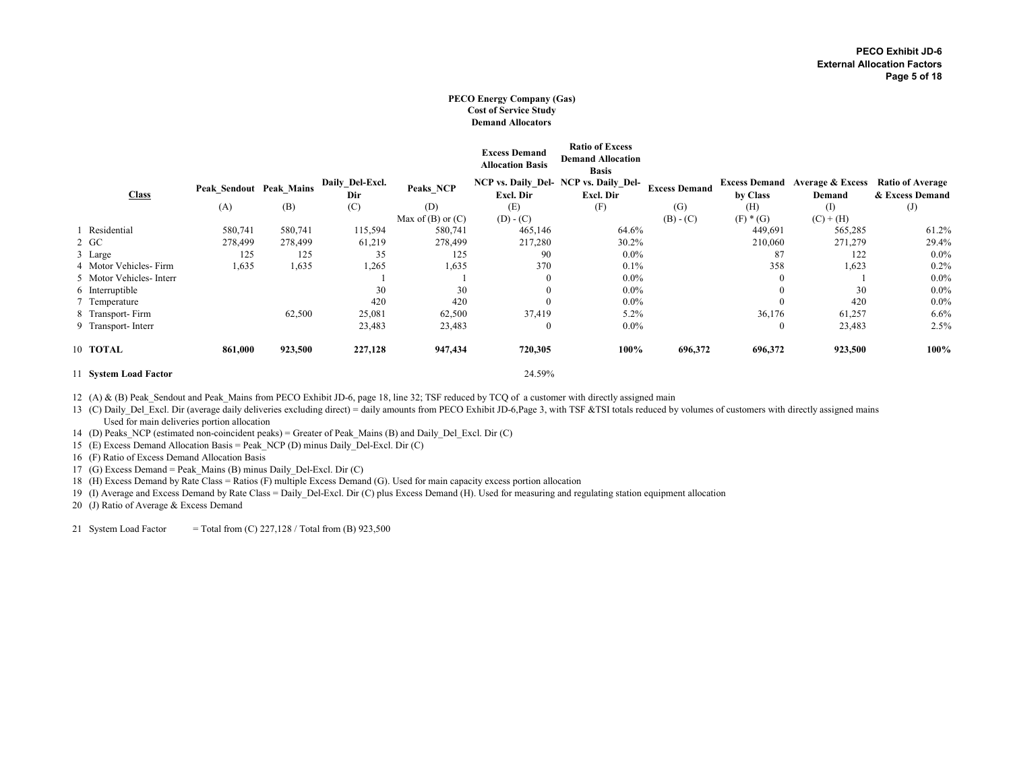#### PECO Energy Company (Gas) Cost of Service Study Demand Allocators

|                         |                         |         |                        |                       | <b>Excess Demand</b><br><b>Allocation Basis</b> | <b>Ratio of Excess</b><br><b>Demand Allocation</b><br><b>Basis</b> |                      |              |                                                     |                                            |
|-------------------------|-------------------------|---------|------------------------|-----------------------|-------------------------------------------------|--------------------------------------------------------------------|----------------------|--------------|-----------------------------------------------------|--------------------------------------------|
| <b>Class</b>            | Peak Sendout Peak Mains |         | Daily_Del-Excl.<br>Dir | Peaks_NCP             | Excl. Dir                                       | NCP vs. Daily Del- NCP vs. Daily Del-<br>Excl. Dir                 | <b>Excess Demand</b> | by Class     | <b>Excess Demand Average &amp; Excess</b><br>Demand | <b>Ratio of Average</b><br>& Excess Demand |
|                         | (A)                     | (B)     | (C)                    | (D)                   | (E)                                             | (F)                                                                | (G)                  | (H)          | $\rm(I)$                                            | (J)                                        |
|                         |                         |         |                        | Max of $(B)$ or $(C)$ | $(D) - (C)$                                     |                                                                    | $(B) - (C)$          | $(F) * (G)$  | $(C) + (H)$                                         |                                            |
| 1 Residential           | 580,741                 | 580,741 | 115,594                | 580,741               | 465,146                                         | 64.6%                                                              |                      | 449,691      | 565,285                                             | 61.2%                                      |
| 2 GC                    | 278,499                 | 278,499 | 61,219                 | 278,499               | 217,280                                         | 30.2%                                                              |                      | 210,060      | 271,279                                             | 29.4%                                      |
| 3 Large                 | 125                     | 125     | 35                     | 125                   | 90                                              | $0.0\%$                                                            |                      | 87           | 122                                                 | $0.0\%$                                    |
| 4 Motor Vehicles-Firm   | 1,635                   | 1,635   | 1,265                  | 1,635                 | 370                                             | 0.1%                                                               |                      | 358          | 1,623                                               | 0.2%                                       |
| 5 Motor Vehicles-Interr |                         |         |                        |                       | $\mathbf{0}$                                    | $0.0\%$                                                            |                      | $\theta$     |                                                     | $0.0\%$                                    |
| 6 Interruptible         |                         |         | 30                     | 30                    | $\boldsymbol{0}$                                | $0.0\%$                                                            |                      | $\theta$     | 30                                                  | $0.0\%$                                    |
| 7 Temperature           |                         |         | 420                    | 420                   | $\mathbf{0}$                                    | $0.0\%$                                                            |                      | $\Omega$     | 420                                                 | $0.0\%$                                    |
| 8 Transport-Firm        |                         | 62,500  | 25,081                 | 62,500                | 37,419                                          | 5.2%                                                               |                      | 36,176       | 61,257                                              | 6.6%                                       |
| 9 Transport-Interr      |                         |         | 23,483                 | 23,483                | $\mathbf{0}$                                    | $0.0\%$                                                            |                      | $\mathbf{0}$ | 23,483                                              | 2.5%                                       |
| 10 TOTAL                | 861,000                 | 923,500 | 227,128                | 947,434               | 720,305                                         | 100%                                                               | 696,372              | 696,372      | 923,500                                             | 100%                                       |
| 11 System Load Factor   |                         |         |                        |                       | 24.59%                                          |                                                                    |                      |              |                                                     |                                            |

12 (A) & (B) Peak Sendout and Peak Mains from PECO Exhibit JD-6, page 18, line 32; TSF reduced by TCQ of a customer with directly assigned main

13 (C) Daily\_Del\_Excl. Dir (average daily deliveries excluding direct) = daily amounts from PECO Exhibit JD-6,Page 3, with TSF &TSI totals reduced by volumes of customers with directly assigned mains Used for main deliveries portion allocation

14 (D) Peaks\_NCP (estimated non-coincident peaks) = Greater of Peak\_Mains (B) and Daily\_Del\_Excl. Dir (C)

15 (E) Excess Demand Allocation Basis = Peak\_NCP (D) minus Daily\_Del-Excl. Dir (C)

16 (F) Ratio of Excess Demand Allocation Basis

17 (G) Excess Demand = Peak\_Mains (B) minus Daily\_Del-Excl. Dir (C)

18 (H) Excess Demand by Rate Class = Ratios (F) multiple Excess Demand (G). Used for main capacity excess portion allocation

19 (I) Average and Excess Demand by Rate Class = Daily\_Del-Excl. Dir (C) plus Excess Demand (H). Used for measuring and regulating station equipment allocation

20 (J) Ratio of Average & Excess Demand

21 System Load Factor = Total from  $(C)$  227,128 / Total from  $(B)$  923,500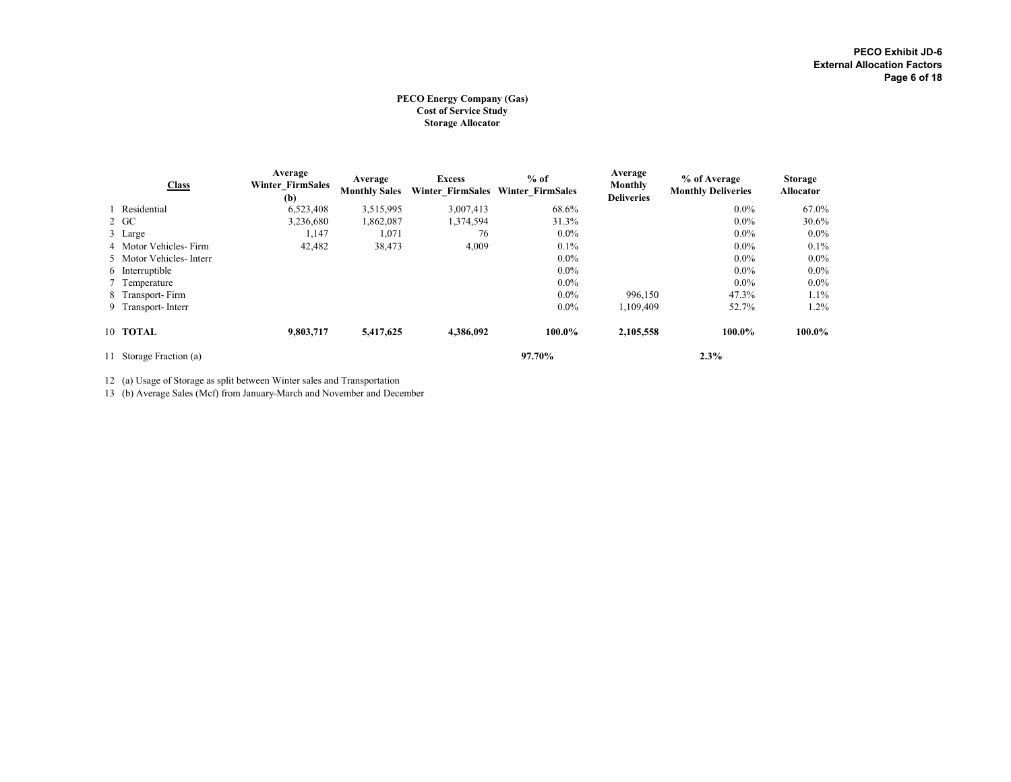#### PECO Energy Company (Gas) Cost of Service Study Storage Allocator

| <b>Class</b>            | Average<br><b>Winter FirmSales</b><br>(b) | Average<br><b>Monthly Sales</b> | <b>Excess</b> | $%$ of<br>Winter FirmSales Winter FirmSales | Average<br>Monthly<br><b>Deliveries</b> | % of Average<br><b>Monthly Deliveries</b> | Storage<br><b>Allocator</b> |
|-------------------------|-------------------------------------------|---------------------------------|---------------|---------------------------------------------|-----------------------------------------|-------------------------------------------|-----------------------------|
| 1 Residential           | 6,523,408                                 | 3,515,995                       | 3,007,413     | 68.6%                                       |                                         | $0.0\%$                                   | 67.0%                       |
| 2 GC                    | 3,236,680                                 | 1,862,087                       | 1,374,594     | 31.3%                                       |                                         | $0.0\%$                                   | 30.6%                       |
| 3 Large                 | 1,147                                     | 1,071                           | 76            | $0.0\%$                                     |                                         | $0.0\%$                                   | $0.0\%$                     |
| 4 Motor Vehicles-Firm   | 42,482                                    | 38,473                          | 4,009         | $0.1\%$                                     |                                         | $0.0\%$                                   | $0.1\%$                     |
| 5 Motor Vehicles-Interr |                                           |                                 |               | $0.0\%$                                     |                                         | $0.0\%$                                   | $0.0\%$                     |
| 6 Interruptible         |                                           |                                 |               | $0.0\%$                                     |                                         | $0.0\%$                                   | $0.0\%$                     |
| 7 Temperature           |                                           |                                 |               | $0.0\%$                                     |                                         | $0.0\%$                                   | $0.0\%$                     |
| 8 Transport-Firm        |                                           |                                 |               | $0.0\%$                                     | 996,150                                 | 47.3%                                     | $1.1\%$                     |
| 9 Transport-Interr      |                                           |                                 |               | $0.0\%$                                     | 1.109.409                               | 52.7%                                     | $1.2\%$                     |
| 10 TOTAL                | 9,803,717                                 | 5,417,625                       | 4,386,092     | 100.0%                                      | 2,105,558                               | 100.0%                                    | 100.0%                      |
| 11 Storage Fraction (a) |                                           |                                 |               | 97.70%                                      |                                         | 2.3%                                      |                             |

12 (a) Usage of Storage as split between Winter sales and Transportation

13 (b) Average Sales (Mcf) from January-March and November and December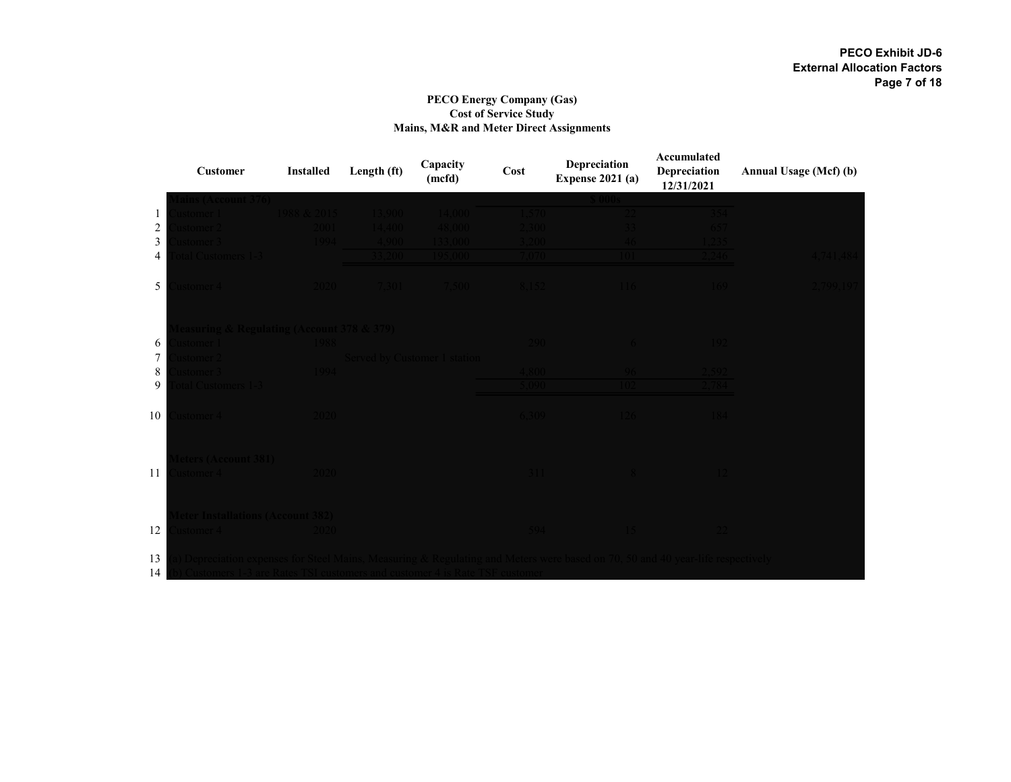### PECO Energy Company (Gas) Cost of Service Study Mains, M&R and Meter Direct Assignments

|            | <b>Customer</b>                                    | <b>Installed</b> | Length (ft) | Capacity<br>(mcfd)           | Cost        | Depreciation<br><b>Expense 2021 (a)</b> | Accumulated<br>Depreciation<br>12/31/2021 | Annual Usage (Mcf) (b) |
|------------|----------------------------------------------------|------------------|-------------|------------------------------|-------------|-----------------------------------------|-------------------------------------------|------------------------|
|            |                                                    |                  |             |                              |             |                                         |                                           |                        |
| 1          | stomer I                                           | 988 & 2015       | 3.900       | 14.000                       |             |                                         |                                           |                        |
| $\sqrt{2}$ | stomer <sup>2</sup>                                | 2001.            | 4.400       | 48.000-                      |             |                                         |                                           |                        |
| 3          | stomer 3                                           | 100 <sub>A</sub> | $1900 -$    |                              |             |                                         |                                           |                        |
| 4          | al Customers 1-                                    |                  | 200.        |                              |             |                                         |                                           |                        |
| 5          | istomer 4                                          |                  | 7.301.      | - 7.500 -                    | <b>XI52</b> |                                         | -169                                      | $700 - 10'$            |
|            | pasuring & Regulating (Account 378 & 379)          |                  |             |                              |             |                                         |                                           |                        |
| 6          | istomer 1                                          |                  |             |                              | 290.        |                                         |                                           |                        |
| $\tau$     | stomer:                                            |                  |             | Served by Customer 1 station |             |                                         |                                           |                        |
| 8          | istomer 3 -                                        | 1994             |             |                              | 008.1       |                                         |                                           |                        |
| 9          | al Customers 1-3                                   |                  |             |                              | 090         |                                         |                                           |                        |
| 10         | istomer 4                                          | 2020             |             |                              | 6.309       | $-126$                                  | -184                                      |                        |
| 11         | eters (Account 381)<br>istomer 4                   | $2020 -$         |             |                              |             |                                         |                                           |                        |
| 12         | eter Installations (Account 382)<br>istomer 4 $\,$ | 2020             |             |                              | 594         |                                         |                                           |                        |
| 13<br>1.4  |                                                    |                  |             |                              |             |                                         |                                           |                        |

 $14$  (b) Custom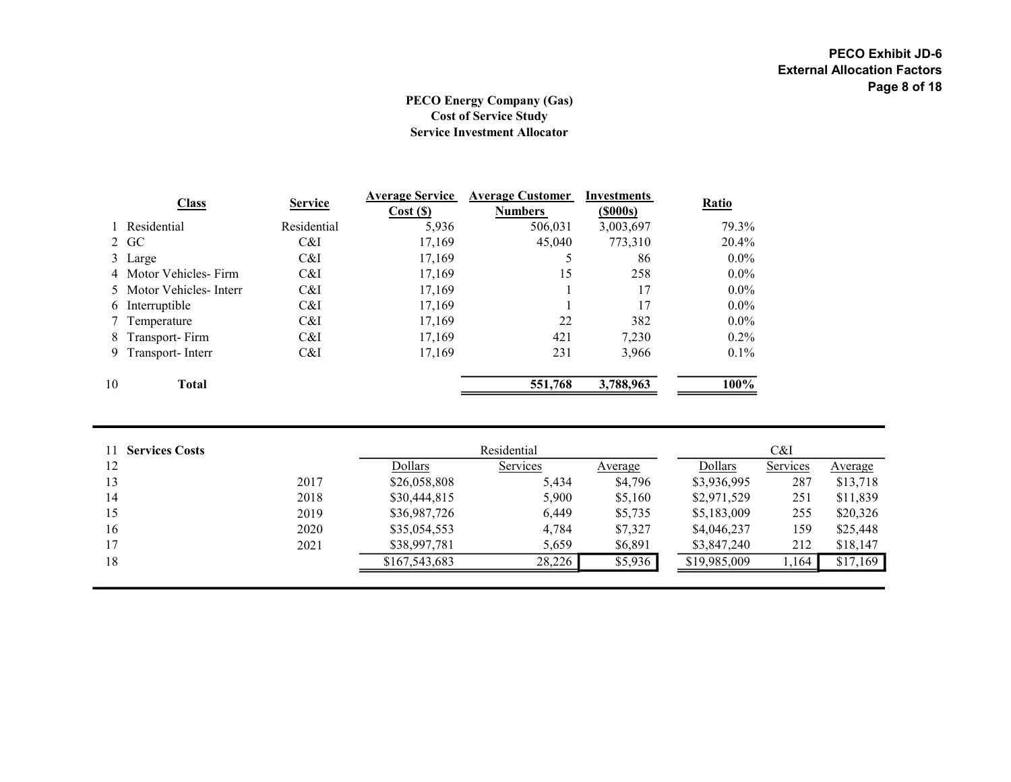# PECO Energy Company (Gas) Cost of Service Study Service Investment Allocator

|    | <b>Class</b>            |                | <b>Average Service</b> | <b>Average Customer</b> | Investments |              |
|----|-------------------------|----------------|------------------------|-------------------------|-------------|--------------|
|    |                         | <b>Service</b> | Cost(S)                | <b>Numbers</b>          | $($ \$000s) | <b>Ratio</b> |
|    | 1 Residential           | Residential    | 5,936                  | 506,031                 | 3,003,697   | 79.3%        |
|    | 2 GC                    | C&I            | 17,169                 | 45,040                  | 773,310     | 20.4%        |
|    | 3 Large                 | C&I            | 17.169                 |                         | 86          | $0.0\%$      |
|    | 4 Motor Vehicles-Firm   | C&I            | 17,169                 | 15                      | 258         | $0.0\%$      |
|    | 5 Motor Vehicles-Interr | C&I            | 17,169                 |                         | 17          | $0.0\%$      |
|    | 6 Interruptible         | C&I            | 17.169                 |                         | 17          | $0.0\%$      |
|    | 7 Temperature           | C&I            | 17.169                 | 22                      | 382         | $0.0\%$      |
| 8  | Transport-Firm          | C&I            | 17.169                 | 421                     | 7.230       | $0.2\%$      |
|    | 9 Transport-Interr      | C&I            | 17,169                 | 231                     | 3,966       | $0.1\%$      |
| 10 | <b>Total</b>            |                |                        | 551,768                 | 3,788,963   | 100%         |

| <b>Services Costs</b> |      |               | Residential | C&I     |              |          |          |
|-----------------------|------|---------------|-------------|---------|--------------|----------|----------|
| 12                    |      | Dollars       | Services    | Average | Dollars      | Services | Average  |
| 13                    | 2017 | \$26,058,808  | 5,434       | \$4,796 | \$3,936,995  | 287      | \$13,718 |
| 14                    | 2018 | \$30,444,815  | 5,900       | \$5,160 | \$2,971,529  | 251      | \$11,839 |
| 15                    | 2019 | \$36,987,726  | 6,449       | \$5,735 | \$5,183,009  | 255      | \$20,326 |
| 16                    | 2020 | \$35,054,553  | 4,784       | \$7,327 | \$4,046,237  | 159      | \$25,448 |
| 17                    | 2021 | \$38,997,781  | 5,659       | \$6,891 | \$3,847,240  | 212      | \$18,147 |
| 18                    |      | \$167,543,683 | 28,226      | \$5,936 | \$19,985,009 | 1,164    | \$17,169 |
|                       |      |               |             |         |              |          |          |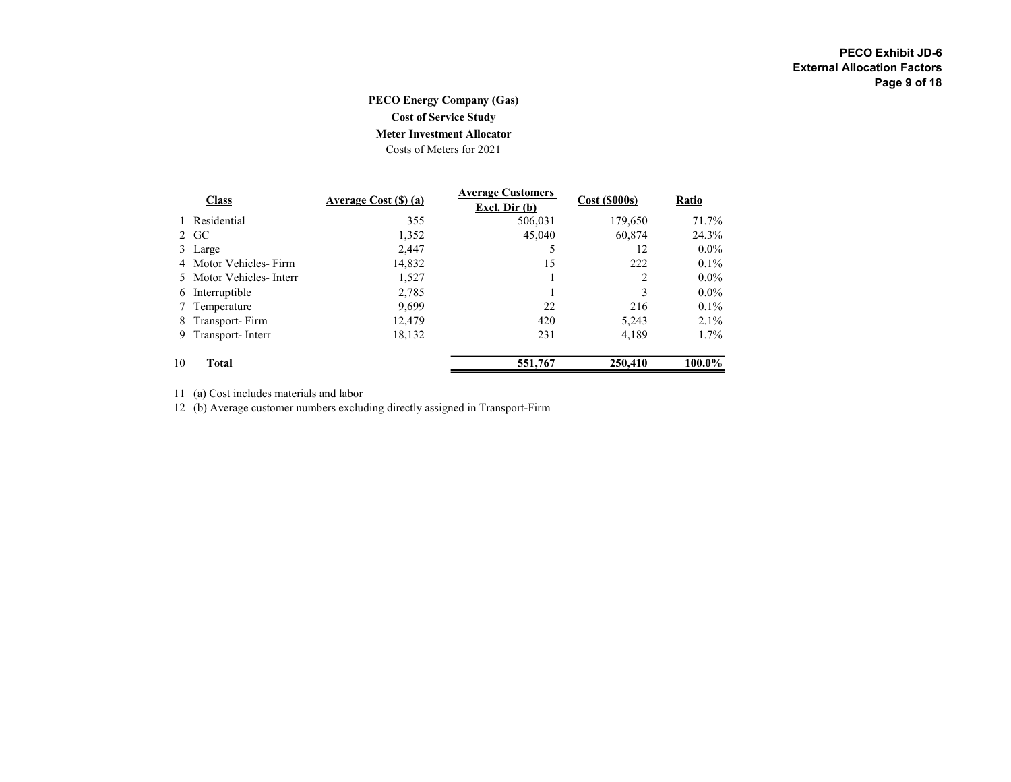# PECO Energy Company (Gas)

Cost of Service Study

# Meter Investment Allocator

Costs of Meters for 2021

|    | <b>Class</b>            | Average Cost (\$) (a) | <b>Average Customers</b><br>Excl. Dir $(b)$ | $Cost (\$000s)$ | Ratio     |
|----|-------------------------|-----------------------|---------------------------------------------|-----------------|-----------|
|    | Residential             | 355                   | 506.031                                     | 179,650         | 71.7%     |
|    | 2 GC                    | 1,352                 | 45,040                                      | 60,874          | 24.3%     |
|    | 3 Large                 | 2,447                 |                                             | 12              | $0.0\%$   |
|    | 4 Motor Vehicles-Firm   | 14,832                | 15                                          | 222             | $0.1\%$   |
|    | 5 Motor Vehicles-Interr | 1,527                 |                                             |                 | $0.0\%$   |
|    | 6 Interruptible         | 2,785                 |                                             | 3               | $0.0\%$   |
|    | Temperature             | 9,699                 | 22                                          | 216             | $0.1\%$   |
| 8  | Transport-Firm          | 12,479                | 420                                         | 5,243           | $2.1\%$   |
| 9. | Transport-Interr        | 18,132                | 231                                         | 4,189           | $1.7\%$   |
| 10 | Total                   |                       | 551,767                                     | 250,410         | $100.0\%$ |

11 (a) Cost includes materials and labor

12 (b) Average customer numbers excluding directly assigned in Transport-Firm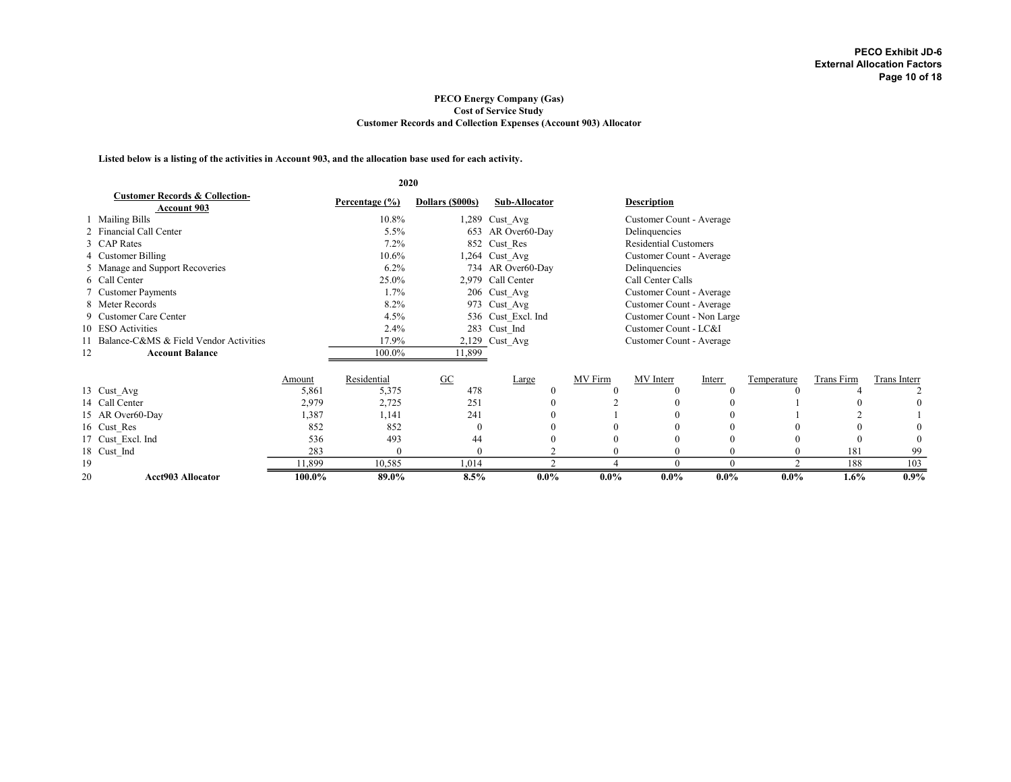#### PECO Energy Company (Gas) Cost of Service Study Customer Records and Collection Expenses (Account 903) Allocator

Listed below is a listing of the activities in Account 903, and the allocation base used for each activity.

|    |                                                                 |        | 2020           |                         |                    |          |                              |          |             |            |              |
|----|-----------------------------------------------------------------|--------|----------------|-------------------------|--------------------|----------|------------------------------|----------|-------------|------------|--------------|
|    | <b>Customer Records &amp; Collection-</b><br><b>Account 903</b> |        | Percentage (%) | Dollars (\$000s)        | Sub-Allocator      |          | <b>Description</b>           |          |             |            |              |
|    | 1 Mailing Bills                                                 |        | 10.8%          |                         | 1,289 Cust Avg     |          | Customer Count - Average     |          |             |            |              |
|    | 2 Financial Call Center                                         |        | $5.5\%$        |                         | 653 AR Over60-Day  |          | Delinquencies                |          |             |            |              |
|    | 3 CAP Rates                                                     |        | $7.2\%$        |                         | 852 Cust Res       |          | <b>Residential Customers</b> |          |             |            |              |
|    | 4 Customer Billing                                              |        | $10.6\%$       |                         | 1,264 Cust Avg     |          | Customer Count - Average     |          |             |            |              |
|    | 5 Manage and Support Recoveries                                 |        | $6.2\%$        |                         | 734 AR Over60-Day  |          | Delinquencies                |          |             |            |              |
|    | 6 Call Center                                                   |        | 25.0%          |                         | 2,979 Call Center  |          | Call Center Calls            |          |             |            |              |
|    | 7 Customer Payments                                             |        | 1.7%           |                         | 206 Cust Avg       |          | Customer Count - Average     |          |             |            |              |
|    | 8 Meter Records                                                 |        | 8.2%           |                         | 973 Cust Avg       |          | Customer Count - Average     |          |             |            |              |
|    | 9 Customer Care Center                                          |        | 4.5%           |                         | 536 Cust Excl. Ind |          | Customer Count - Non Large   |          |             |            |              |
|    | 10 ESO Activities                                               |        | 2.4%           |                         | 283 Cust Ind       |          | Customer Count - LC&I        |          |             |            |              |
|    | 11 Balance-C&MS & Field Vendor Activities                       |        | 17.9%          |                         | 2,129 Cust Avg     |          | Customer Count - Average     |          |             |            |              |
| 12 | <b>Account Balance</b>                                          |        | 100.0%         | 11,899                  |                    |          |                              |          |             |            |              |
|    |                                                                 |        |                |                         |                    |          |                              |          |             |            |              |
|    |                                                                 | Amount | Residential    | $\underline{\text{GC}}$ | Large              | MV Firm  | MV Interr                    | Interr   | Temperature | Trans Firm | Trans Interr |
|    | 13 Cust Avg                                                     | 5,861  | 5,375          | 478                     | $\theta$           | $\Omega$ | $\mathbf{0}$                 | $\theta$ | $\Omega$    |            |              |
|    | 14 Call Center                                                  | 2,979  | 2,725          | 251                     |                    |          | $\theta$                     | 0        |             |            | 0            |
|    | 15 AR Over60-Day                                                | 1,387  | 1,141          | 241                     |                    |          | $\theta$                     | $\Omega$ |             |            |              |
|    | 16 Cust Res                                                     | 852    | 852            | $\Omega$                |                    |          | $\mathbf{0}$                 | $\Omega$ |             | $\theta$   |              |
|    | 17 Cust Excl. Ind                                               | 536    | 493            | 44                      |                    |          | $\theta$                     |          |             |            | $\theta$     |
|    | 18 Cust Ind                                                     | 283    | $\Omega$       | $\Omega$                |                    | $\Omega$ | $\Omega$                     | $\Omega$ | $\Omega$    | 181        | 99           |
| 19 |                                                                 | 11,899 | 10,585         | 1,014                   | $\sqrt{2}$         |          | $\Omega$                     | $\Omega$ | $\bigcap$   | 188        | 103          |
| 20 | <b>Acct903 Allocator</b>                                        | 100.0% | 89.0%          | 8.5%                    | $0.0\%$            | $0.0\%$  | $0.0\%$                      | $0.0\%$  | $0.0\%$     | 1.6%       | $0.9\%$      |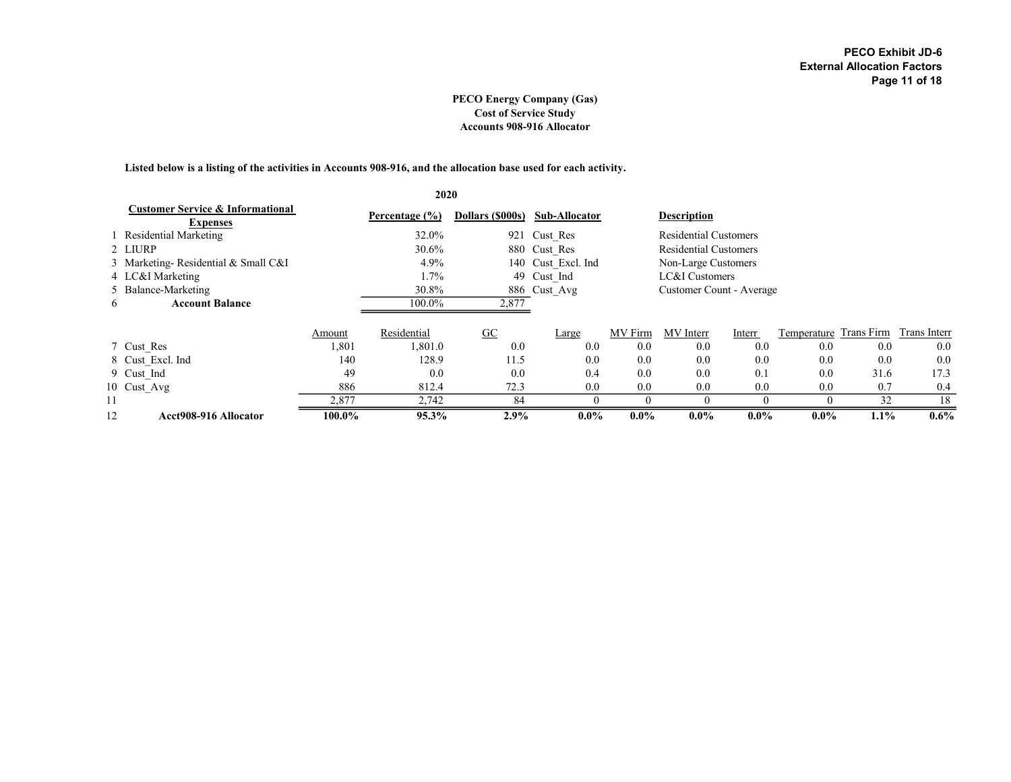#### PECO Energy Company (Gas) Cost of Service Study Accounts 908-916 Allocator

Listed below is a listing of the activities in Accounts 908-916, and the allocation base used for each activity.

|    |                                                                |        | 2020               |                          |                      |         |                              |         |             |            |              |
|----|----------------------------------------------------------------|--------|--------------------|--------------------------|----------------------|---------|------------------------------|---------|-------------|------------|--------------|
|    | <b>Customer Service &amp; Informational</b><br><b>Expenses</b> |        | Percentage $(\% )$ | Dollars (\$000s)         | <b>Sub-Allocator</b> |         | <b>Description</b>           |         |             |            |              |
|    | Residential Marketing                                          |        | 32.0%              |                          | 921 Cust Res         |         | Residential Customers        |         |             |            |              |
|    | 2 LIURP                                                        |        | 30.6%              |                          | 880 Cust Res         |         | <b>Residential Customers</b> |         |             |            |              |
|    | 3 Marketing-Residential & Small C&I                            |        | 4.9%               |                          | 140 Cust Excl. Ind   |         | Non-Large Customers          |         |             |            |              |
|    | 4 LC&I Marketing                                               |        | $1.7\%$            |                          | 49 Cust Ind          |         | LC&I Customers               |         |             |            |              |
|    | 5 Balance-Marketing                                            |        | 30.8%              |                          | 886 Cust Avg         |         | Customer Count - Average     |         |             |            |              |
| 6  | <b>Account Balance</b>                                         |        | 100.0%             | 2,877                    |                      |         |                              |         |             |            |              |
|    |                                                                |        |                    |                          |                      |         |                              |         |             |            |              |
|    |                                                                | Amount | Residential        | $\underline{\mathbf{G}}$ | Large                | MV Firm | MV Interr                    | Interr  | Temperature | Trans Firm | Trans Interr |
|    | 7 Cust Res                                                     | 1,801  | 1,801.0            | 0.0                      | 0.0                  | 0.0     | 0.0                          | 0.0     | 0.0         | 0.0        | 0.0          |
|    | 8 Cust Excl. Ind                                               | 140    | 128.9              | 11.5                     | 0.0                  | 0.0     | 0.0                          | 0.0     | 0.0         | 0.0        | 0.0          |
|    | 9 Cust Ind                                                     | 49     | 0.0                | 0.0                      | 0.4                  | 0.0     | 0.0                          | 0.1     | 0.0         | 31.6       | 17.3         |
|    | 10 Cust Avg                                                    | 886    | 812.4              | 72.3                     | 0.0                  | 0.0     | 0.0                          | 0.0     | 0.0         | 0.7        | 0.4          |
| 11 |                                                                | 2,877  | 2,742              | 84                       | $\Omega$             |         | 0                            |         | $\theta$    | 32         | 18           |
| 12 | Acct908-916 Allocator                                          | 100.0% | 95.3%              | 2.9%                     | $0.0\%$              | $0.0\%$ | $0.0\%$                      | $0.0\%$ | $0.0\%$     | $1.1\%$    | $0.6\%$      |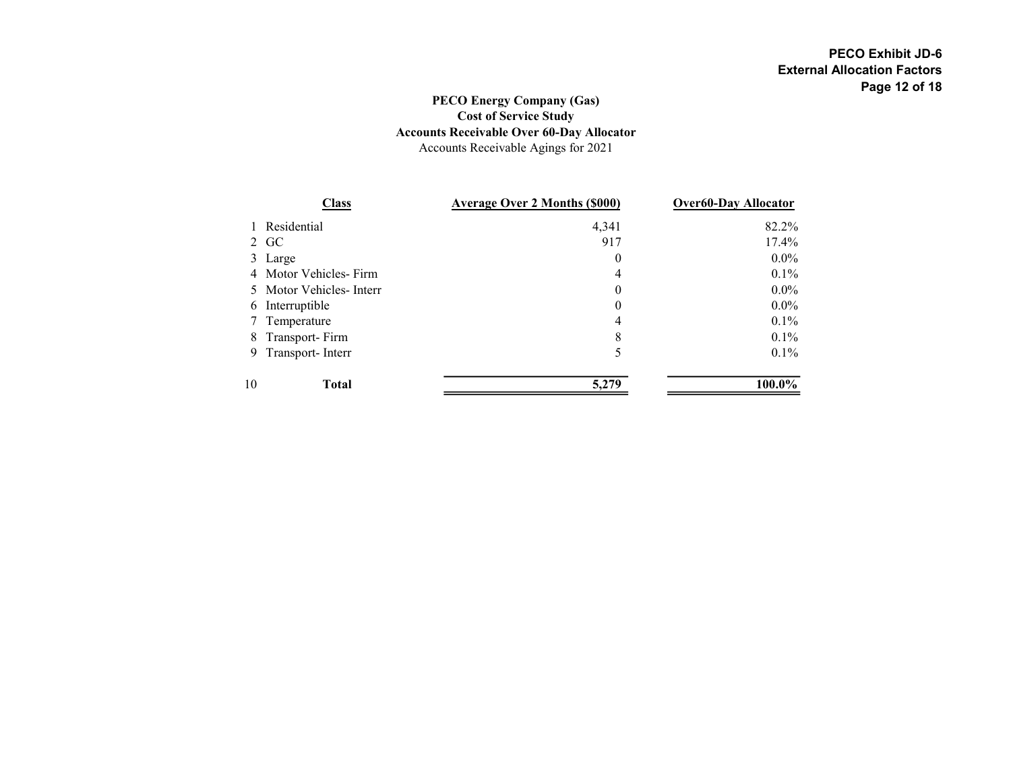# PECO Energy Company (Gas) Cost of Service Study Accounts Receivable Over 60-Day Allocator Accounts Receivable Agings for 2021

|              | <b>Class</b>            | <b>Average Over 2 Months (\$000)</b> | <b>Over60-Day Allocator</b> |
|--------------|-------------------------|--------------------------------------|-----------------------------|
| $\mathbf{1}$ | Residential             | 4,341                                | 82.2%                       |
|              | 2 GC                    | 917                                  | 17.4%                       |
|              | 3 Large                 | $\bf{0}$                             | $0.0\%$                     |
|              | 4 Motor Vehicles-Firm   | 4                                    | $0.1\%$                     |
|              | 5 Motor Vehicles-Interr | $\theta$                             | $0.0\%$                     |
| 6            | Interruptible           | $\theta$                             | $0.0\%$                     |
| 7.           | Temperature             | 4                                    | $0.1\%$                     |
|              | 8 Transport-Firm        | 8                                    | $0.1\%$                     |
|              | 9 Transport-Interr      | 5                                    | $0.1\%$                     |
| 10           | <b>Total</b>            | 5,279                                | 100.0%                      |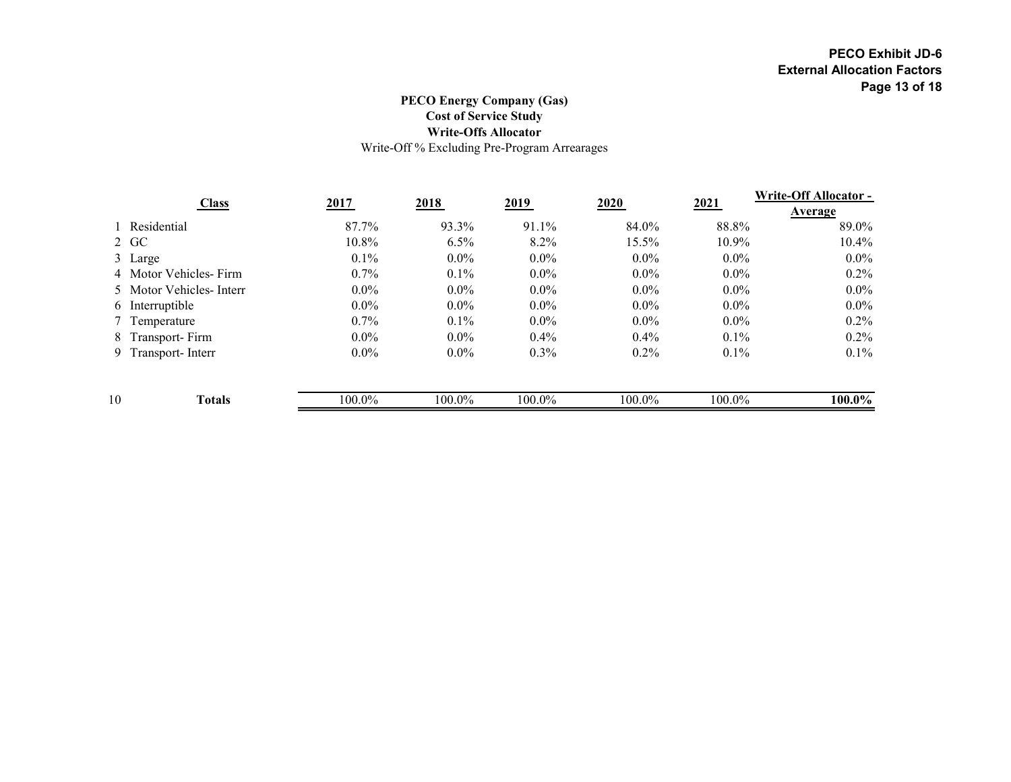# PECO Energy Company (Gas) Cost of Service Study Write-Offs Allocator Write-Off % Excluding Pre-Program Arrearages

|    |                         |          |         |         |         |          | Write-Off Allocator -<br><b>Average</b> |  |
|----|-------------------------|----------|---------|---------|---------|----------|-----------------------------------------|--|
|    | <b>Class</b>            | 2017     | 2018    | 2019    | 2020    | 2021     |                                         |  |
|    | 1 Residential           | 87.7%    | 93.3%   | 91.1%   | 84.0%   | 88.8%    | 89.0%                                   |  |
|    | 2 GC                    | $10.8\%$ | 6.5%    | 8.2%    | 15.5%   | $10.9\%$ | $10.4\%$                                |  |
|    | 3 Large                 | $0.1\%$  | $0.0\%$ | $0.0\%$ | $0.0\%$ | $0.0\%$  | $0.0\%$                                 |  |
|    | 4 Motor Vehicles-Firm   | $0.7\%$  | $0.1\%$ | $0.0\%$ | $0.0\%$ | $0.0\%$  | $0.2\%$                                 |  |
|    | 5 Motor Vehicles-Interr | $0.0\%$  | $0.0\%$ | $0.0\%$ | $0.0\%$ | $0.0\%$  | $0.0\%$                                 |  |
|    | 6 Interruptible         | $0.0\%$  | $0.0\%$ | $0.0\%$ | $0.0\%$ | $0.0\%$  | $0.0\%$                                 |  |
|    | 7 Temperature           | $0.7\%$  | $0.1\%$ | $0.0\%$ | $0.0\%$ | $0.0\%$  | $0.2\%$                                 |  |
|    | 8 Transport-Firm        | $0.0\%$  | $0.0\%$ | $0.4\%$ | $0.4\%$ | $0.1\%$  | $0.2\%$                                 |  |
|    | 9 Transport-Interr      | $0.0\%$  | $0.0\%$ | $0.3\%$ | $0.2\%$ | $0.1\%$  | $0.1\%$                                 |  |
| 10 | <b>Totals</b>           | 100.0%   | 100.0%  | 100.0%  | 100.0%  | 100.0%   | 100.0%                                  |  |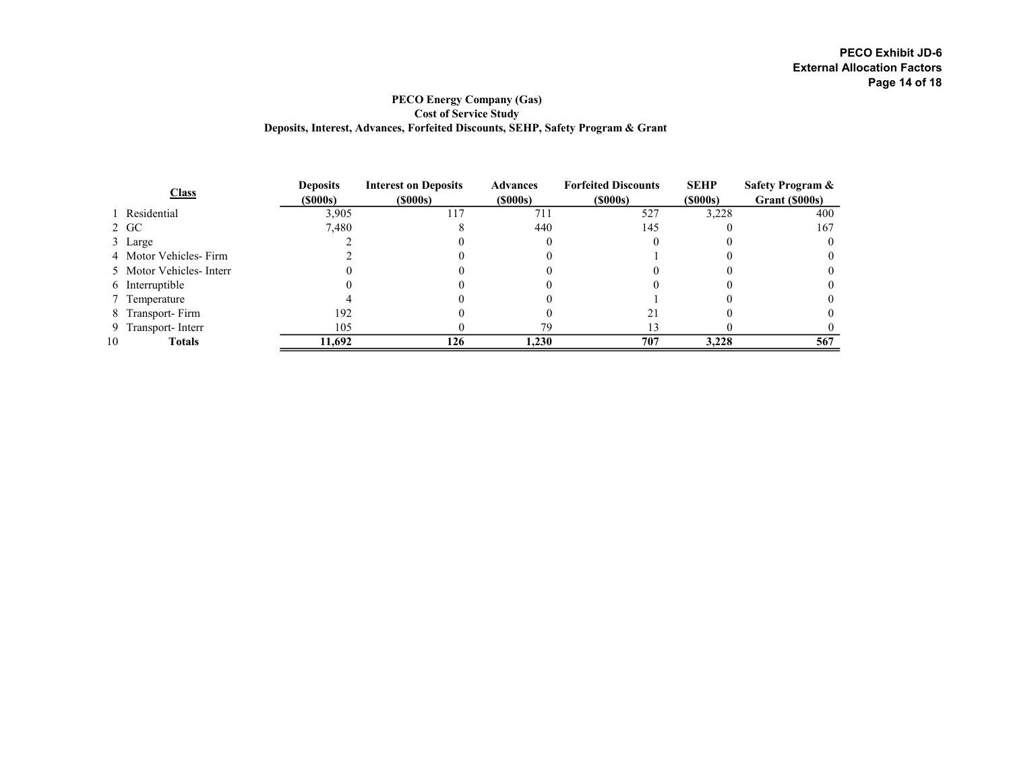### PECO Energy Company (Gas) Cost of Service Study Deposits, Interest, Advances, Forfeited Discounts, SEHP, Safety Program & Grant

| <b>Class</b> |                         | <b>Deposits</b> | <b>Interest on Deposits</b> | <b>Advances</b> | <b>Forfeited Discounts</b> | <b>SEHP</b> | Safety Program & |
|--------------|-------------------------|-----------------|-----------------------------|-----------------|----------------------------|-------------|------------------|
|              |                         | (\$000s)        | (S000s)                     | (S000s)         | $($ \$000s) $($            | (S000s)     | Grant (\$000s)   |
|              | 1 Residential           | 3,905           | 17                          | 711             | 527                        | 3,228       | 400              |
|              | 2 GC                    | 7,480           |                             | 440             | 145                        |             | 167              |
|              | 3 Large                 |                 |                             |                 |                            |             |                  |
|              | 4 Motor Vehicles-Firm   |                 |                             |                 |                            |             |                  |
|              | 5 Motor Vehicles-Interr |                 |                             |                 |                            |             |                  |
|              | 6 Interruptible         |                 |                             |                 |                            |             |                  |
|              | 7 Temperature           |                 |                             |                 |                            |             |                  |
|              | 8 Transport-Firm        | 192             |                             |                 |                            |             |                  |
|              | 9 Transport-Interr      | 105             |                             | 79              |                            |             |                  |
| 10           | <b>Totals</b>           | 11,692          | 126                         | 1,230           | 707                        | 3,228       | 567              |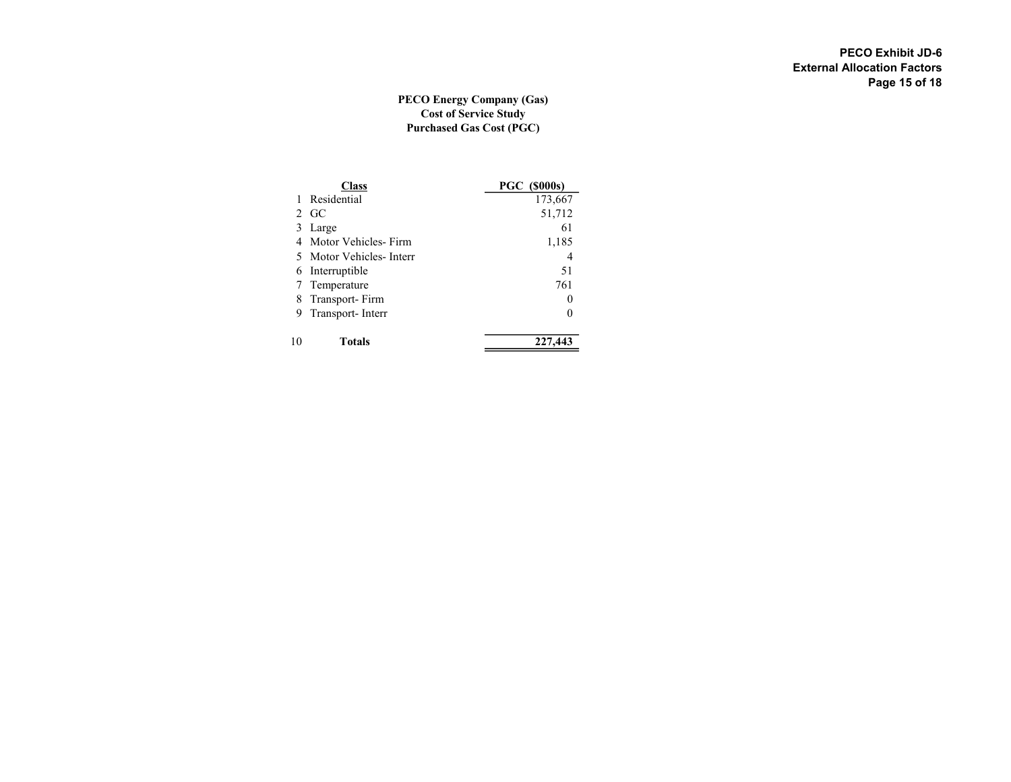## PECO Energy Company (Gas) Cost of Service Study Purchased Gas Cost (PGC)

|    | Class                   | <b>PGC (\$000s)</b> |
|----|-------------------------|---------------------|
|    | Residential             | 173,667             |
|    | $2 \text{ GC}$          | 51,712              |
| 3  | Large                   | 61                  |
|    | 4 Motor Vehicles-Firm   | 1,185               |
|    | 5 Motor Vehicles-Interr | 4                   |
| 6  | Interruptible           | 51                  |
|    | 7 Temperature           | 761                 |
| 8  | Transport-Firm          | 0                   |
| 9  | Transport-Interr        | 0                   |
| 10 | Totals                  | 227,443             |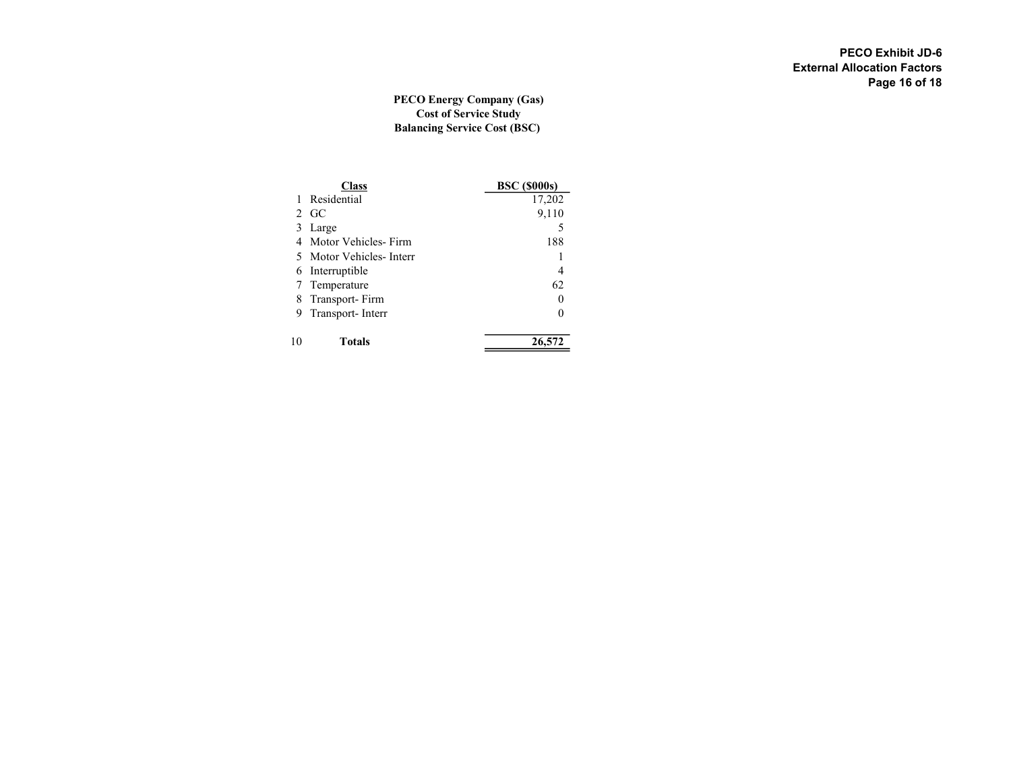### PECO Energy Company (Gas) Cost of Service Study Balancing Service Cost (BSC)

|    | Class                   | <b>BSC</b> (\$000s) |  |  |  |  |
|----|-------------------------|---------------------|--|--|--|--|
|    | Residential             | 17,202              |  |  |  |  |
|    | $2 \text{ GC}$          | 9,110               |  |  |  |  |
| 3  | Large                   | 5                   |  |  |  |  |
|    | 4 Motor Vehicles-Firm   | 188                 |  |  |  |  |
|    | 5 Motor Vehicles-Interr |                     |  |  |  |  |
| 6  | Interruptible           | 4                   |  |  |  |  |
|    | 7 Temperature           | 62                  |  |  |  |  |
|    | 8 Transport-Firm        | 0                   |  |  |  |  |
|    | 9 Transport-Interr      | 0                   |  |  |  |  |
| 10 | Totals                  | 26,572              |  |  |  |  |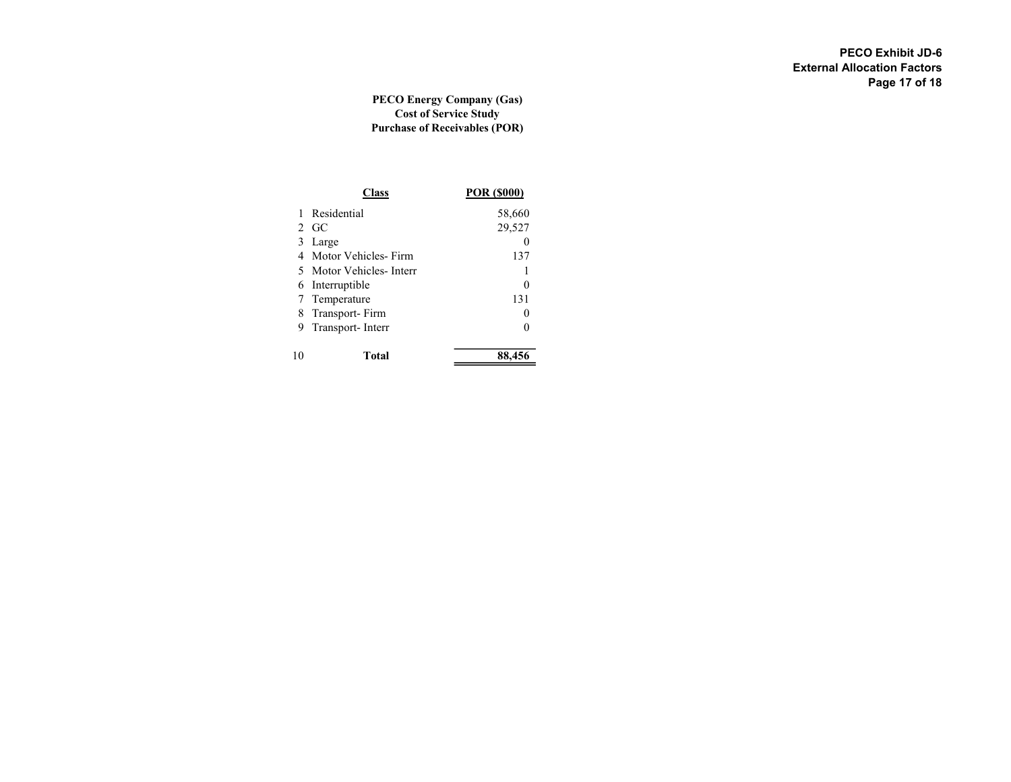### PECO Energy Company (Gas) Cost of Service Study Purchase of Receivables (POR)

|    |                         | POR (\$000) |
|----|-------------------------|-------------|
|    | Residential             | 58,660      |
|    | $2 \text{ GC}$          | 29,527      |
| 3  | Large                   |             |
| 4  | Motor Vehicles-Firm     | 137         |
|    | 5 Motor Vehicles-Interr |             |
|    | 6 Interruptible         |             |
| 7  | Temperature             | 131         |
| 8  | Transport-Firm          |             |
| 9  | Transport-Interr        |             |
| 10 | Total                   | 88.456      |